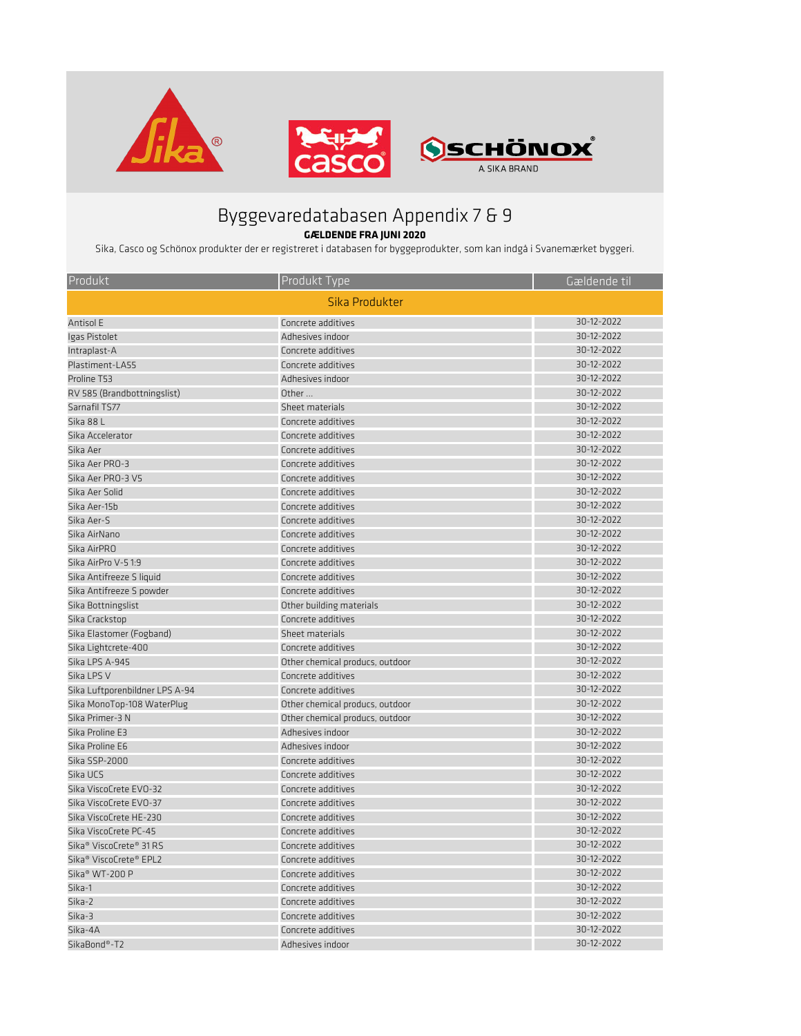| Produkt                                         | Produkt Type                    | Gældende til |  |
|-------------------------------------------------|---------------------------------|--------------|--|
| Sika Produkter                                  |                                 |              |  |
| Antisol E                                       | Concrete additives              | 30-12-2022   |  |
| Igas Pistolet                                   | Adhesives indoor                | 30-12-2022   |  |
| Intraplast-A                                    | Concrete additives              | 30-12-2022   |  |
| Plastiment-LA55                                 | Concrete additives              | 30-12-2022   |  |
| Proline T53                                     | Adhesives indoor                | 30-12-2022   |  |
| RV 585 (Brandbottningslist)                     | Other                           | 30-12-2022   |  |
| Sarnafil TS77                                   | Sheet materials                 | 30-12-2022   |  |
| Sika 88 L                                       | Concrete additives              | 30-12-2022   |  |
| Sika Accelerator                                | Concrete additives              | 30-12-2022   |  |
| Sika Aer                                        | Concrete additives              | 30-12-2022   |  |
| Sika Aer PRO-3                                  | Concrete additives              | 30-12-2022   |  |
| Sika Aer PRO-3 V5                               | Concrete additives              | 30-12-2022   |  |
| Sika Aer Solid                                  | Concrete additives              | 30-12-2022   |  |
| Sika Aer-15b                                    | Concrete additives              | 30-12-2022   |  |
| Sika Aer-S                                      | Concrete additives              | 30-12-2022   |  |
| Sika AirNano                                    | Concrete additives              | 30-12-2022   |  |
| Sika AirPRO                                     | Concrete additives              | 30-12-2022   |  |
| Sika AirPro V-51:9                              | Concrete additives              | 30-12-2022   |  |
| Sika Antifreeze S liquid                        | Concrete additives              | 30-12-2022   |  |
| Sika Antifreeze S powder                        | Concrete additives              | 30-12-2022   |  |
| Sika Bottningslist                              | Other building materials        | 30-12-2022   |  |
| Sika Crackstop                                  | Concrete additives              | 30-12-2022   |  |
| Sika Elastomer (Fogband)                        | Sheet materials                 | 30-12-2022   |  |
| Sika Lightcrete-400                             | Concrete additives              | 30-12-2022   |  |
| Sika LPS A-945                                  | Other chemical producs, outdoor | 30-12-2022   |  |
| Sika LPS V                                      | Concrete additives              | 30-12-2022   |  |
| Sika Luftporenbildner LPS A-94                  | Concrete additives              | 30-12-2022   |  |
| Sika MonoTop-108 WaterPlug                      | Other chemical producs, outdoor | 30-12-2022   |  |
| Sika Primer-3 N                                 | Other chemical producs, outdoor | 30-12-2022   |  |
| Sika Proline E3                                 | Adhesives indoor                | 30-12-2022   |  |
| Sika Proline E6                                 | Adhesives indoor                | 30-12-2022   |  |
| Sika SSP-2000                                   | Concrete additives              | 30-12-2022   |  |
| Sika UCS                                        | Concrete additives              | 30-12-2022   |  |
| Sika ViscoCrete EVO-32                          | Concrete additives              | 30-12-2022   |  |
| Sika ViscoCrete EVO-37                          | Concrete additives              | 30-12-2022   |  |
| Sika ViscoCrete HE-230                          | Concrete additives              | 30-12-2022   |  |
| Sika ViscoCrete PC-45                           | Concrete additives              | 30-12-2022   |  |
| Sika <sup>®</sup> ViscoCrete <sup>®</sup> 31 RS | Concrete additives              | 30-12-2022   |  |
| Sika <sup>®</sup> ViscoCrete <sup>®</sup> EPL2  | Concrete additives              | 30-12-2022   |  |
| Sika <sup>®</sup> WT-200 P                      | Concrete additives              | 30-12-2022   |  |
| Sika-1                                          | Concrete additives              | 30-12-2022   |  |
| Sika-2                                          | Concrete additives              | 30-12-2022   |  |
| Sika-3                                          | Concrete additives              | 30-12-2022   |  |
| Sika-4A                                         | Concrete additives              | 30-12-2022   |  |
| SikaBond®-T2                                    | Adhesives indoor                | 30-12-2022   |  |



## Byggevaredatabasen Appendix 7 & 9

## **GÆLDENDE FRA JUNI 2020**

Sika, Casco og Schönox produkter der er registreret i databasen for byggeprodukter, som kan indgå i Svanemærket byggeri.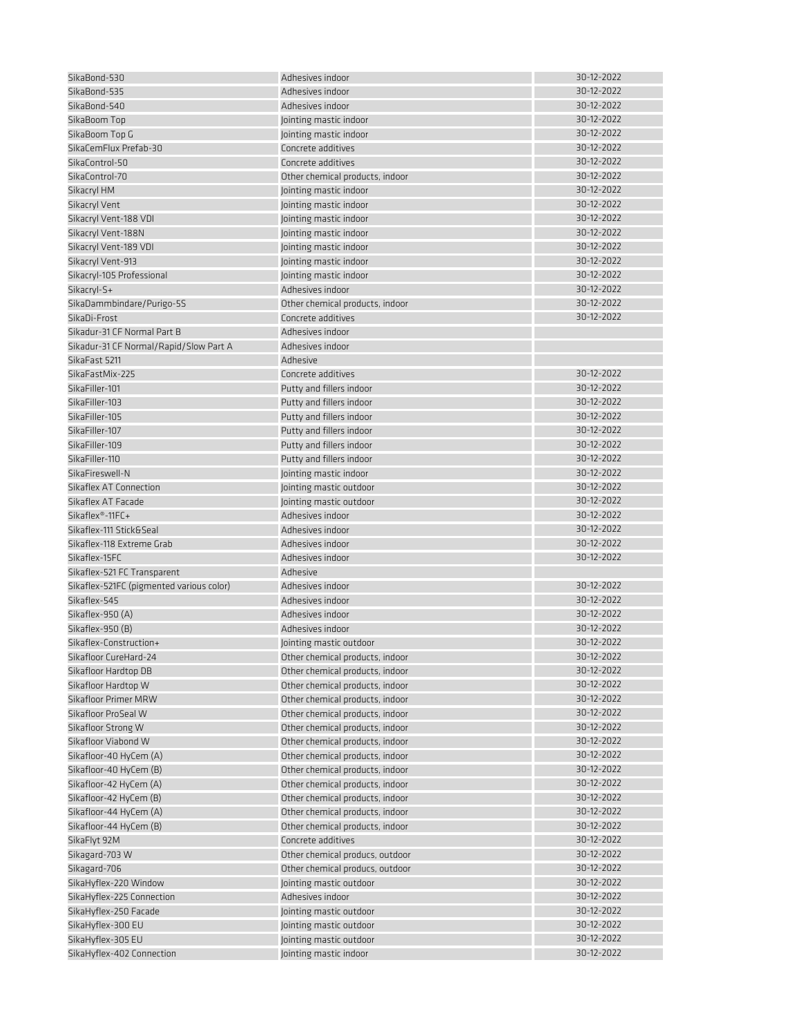| SikaBond-530                             | Adhesives indoor                | 30-12-2022 |
|------------------------------------------|---------------------------------|------------|
| SikaBond-535                             | Adhesives indoor                | 30-12-2022 |
| SikaBond-540                             | Adhesives indoor                | 30-12-2022 |
| SikaBoom Top                             | Jointing mastic indoor          | 30-12-2022 |
| SikaBoom Top G                           | Jointing mastic indoor          | 30-12-2022 |
| SikaCemFlux Prefab-30                    | Concrete additives              | 30-12-2022 |
| SikaControl-50                           | Concrete additives              | 30-12-2022 |
| SikaControl-70                           | Other chemical products, indoor | 30-12-2022 |
| Sikacryl HM                              | Jointing mastic indoor          | 30-12-2022 |
| Sikacryl Vent                            | Jointing mastic indoor          | 30-12-2022 |
| Sikacryl Vent-188 VDI                    | Jointing mastic indoor          | 30-12-2022 |
| Sikacryl Vent-188N                       | Jointing mastic indoor          | 30-12-2022 |
| Sikacryl Vent-189 VDI                    | Jointing mastic indoor          | 30-12-2022 |
| Sikacryl Vent-913                        | Jointing mastic indoor          | 30-12-2022 |
| Sikacryl-105 Professional                | Jointing mastic indoor          | 30-12-2022 |
| Sikacryl-S+                              | Adhesives indoor                | 30-12-2022 |
| SikaDammbindare/Purigo-5S                | Other chemical products, indoor | 30-12-2022 |
| SikaDi-Frost                             | Concrete additives              | 30-12-2022 |
| Sikadur-31 CF Normal Part B              | Adhesives indoor                |            |
| Sikadur-31 CF Normal/Rapid/Slow Part A   | Adhesives indoor                |            |
| SikaFast 5211                            | Adhesive                        |            |
| SikaFastMix-225                          | Concrete additives              | 30-12-2022 |
| SikaFiller-101                           | Putty and fillers indoor        | 30-12-2022 |
| SikaFiller-103                           | Putty and fillers indoor        | 30-12-2022 |
| SikaFiller-105                           | Putty and fillers indoor        | 30-12-2022 |
| SikaFiller-107                           | Putty and fillers indoor        | 30-12-2022 |
| SikaFiller-109                           | Putty and fillers indoor        | 30-12-2022 |
| SikaFiller-110                           | Putty and fillers indoor        | 30-12-2022 |
| SikaFireswell-N                          | Jointing mastic indoor          | 30-12-2022 |
| Sikaflex AT Connection                   | Jointing mastic outdoor         | 30-12-2022 |
| Sikaflex AT Facade                       | Jointing mastic outdoor         | 30-12-2022 |
| Sikaflex <sup>®</sup> -11FC+             | Adhesives indoor                | 30-12-2022 |
| Sikaflex-111 Stick&Seal                  | Adhesives indoor                | 30-12-2022 |
| Sikaflex-118 Extreme Grab                |                                 | 30-12-2022 |
|                                          | Adhesives indoor                | 30-12-2022 |
| Sikaflex-15FC                            | Adhesives indoor                |            |
| Sikaflex-521 FC Transparent              | Adhesive                        | 30-12-2022 |
| Sikaflex-521FC (pigmented various color) | Adhesives indoor                | 30-12-2022 |
| Sikaflex-545                             | Adhesives indoor                | 30-12-2022 |
| Sikaflex-950 (A)                         | Adhesives indoor                | 30-12-2022 |
| Sikaflex-950 (B)                         | Adhesives indoor                |            |
| Sikaflex-Construction+                   | Jointing mastic outdoor         | 30-12-2022 |
| Sikafloor CureHard-24                    | Other chemical products, indoor | 30-12-2022 |
| Sikafloor Hardtop DB                     | Other chemical products, indoor | 30-12-2022 |
| Sikafloor Hardtop W                      | Other chemical products, indoor | 30-12-2022 |
| Sikafloor Primer MRW                     | Other chemical products, indoor | 30-12-2022 |
| Sikafloor ProSeal W                      | Other chemical products, indoor | 30-12-2022 |
| Sikafloor Strong W                       | Other chemical products, indoor | 30-12-2022 |
| Sikafloor Viabond W                      | Other chemical products, indoor | 30-12-2022 |
| Sikafloor-40 HyCem (A)                   | Other chemical products, indoor | 30-12-2022 |
| Sikafloor-40 HyCem (B)                   | Other chemical products, indoor | 30-12-2022 |
| Sikafloor-42 HyCem (A)                   | Other chemical products, indoor | 30-12-2022 |
| Sikafloor-42 HyCem (B)                   | Other chemical products, indoor | 30-12-2022 |
| Sikafloor-44 HyCem (A)                   | Other chemical products, indoor | 30-12-2022 |
| Sikafloor-44 HyCem (B)                   | Other chemical products, indoor | 30-12-2022 |
| SikaFlyt 92M                             | Concrete additives              | 30-12-2022 |
| Sikagard-703 W                           | Other chemical producs, outdoor | 30-12-2022 |
| Sikagard-706                             | Other chemical producs, outdoor | 30-12-2022 |
| SikaHyflex-220 Window                    | Jointing mastic outdoor         | 30-12-2022 |
| SikaHyflex-225 Connection                | Adhesives indoor                | 30-12-2022 |
| SikaHyflex-250 Facade                    | Jointing mastic outdoor         | 30-12-2022 |
| SikaHyflex-300 EU                        | Jointing mastic outdoor         | 30-12-2022 |
| SikaHyflex-305 EU                        | Jointing mastic outdoor         | 30-12-2022 |
| SikaHyflex-402 Connection                | Jointing mastic indoor          | 30-12-2022 |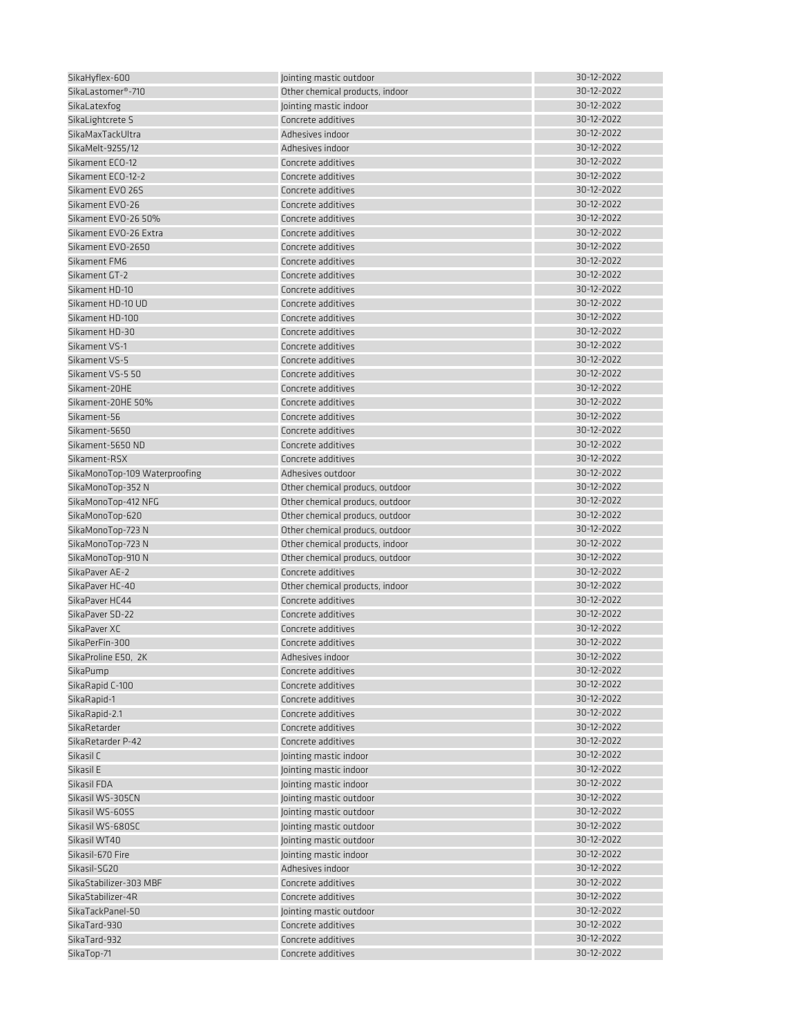| SikaHyflex-600                 | Jointing mastic outdoor         | 30-12-2022 |
|--------------------------------|---------------------------------|------------|
| SikaLastomer <sup>®</sup> -710 | Other chemical products, indoor | 30-12-2022 |
|                                |                                 |            |
| SikaLatexfog                   | Jointing mastic indoor          | 30-12-2022 |
| SikaLightcrete S               | Concrete additives              | 30-12-2022 |
| SikaMaxTackUltra               | Adhesives indoor                | 30-12-2022 |
| SikaMelt-9255/12               | Adhesives indoor                | 30-12-2022 |
| Sikament ECO-12                | Concrete additives              | 30-12-2022 |
| Sikament ECO-12-2              | Concrete additives              | 30-12-2022 |
| Sikament EVO 26S               | Concrete additives              | 30-12-2022 |
|                                |                                 |            |
| Sikament EVO-26                | Concrete additives              | 30-12-2022 |
| Sikament EVO-26 50%            | Concrete additives              | 30-12-2022 |
| Sikament EVO-26 Extra          | Concrete additives              | 30-12-2022 |
| Sikament EVO-2650              | Concrete additives              | 30-12-2022 |
| Sikament FM6                   | Concrete additives              | 30-12-2022 |
| Sikament GT-2                  | Concrete additives              | 30-12-2022 |
| Sikament HD-10                 | Concrete additives              | 30-12-2022 |
| Sikament HD-10 UD              | Concrete additives              | 30-12-2022 |
|                                |                                 |            |
| Sikament HD-100                | Concrete additives              | 30-12-2022 |
| Sikament HD-30                 | Concrete additives              | 30-12-2022 |
| Sikament VS-1                  | Concrete additives              | 30-12-2022 |
| Sikament VS-5                  | Concrete additives              | 30-12-2022 |
| Sikament VS-5 50               | Concrete additives              | 30-12-2022 |
| Sikament-20HE                  | Concrete additives              | 30-12-2022 |
| Sikament-20HE 50%              | Concrete additives              | 30-12-2022 |
| Sikament-56                    | Concrete additives              | 30-12-2022 |
|                                |                                 |            |
| Sikament-5650                  | Concrete additives              | 30-12-2022 |
| Sikament-5650 ND               | Concrete additives              | 30-12-2022 |
| Sikament-RSX                   | Concrete additives              | 30-12-2022 |
| SikaMonoTop-109 Waterproofing  | Adhesives outdoor               | 30-12-2022 |
| SikaMonoTop-352 N              | Other chemical producs, outdoor | 30-12-2022 |
| SikaMonoTop-412 NFG            | Other chemical producs, outdoor | 30-12-2022 |
| SikaMonoTop-620                | Other chemical producs, outdoor | 30-12-2022 |
| SikaMonoTop-723 N              | Other chemical producs, outdoor | 30-12-2022 |
|                                |                                 |            |
| SikaMonoTop-723 N              | Other chemical products, indoor | 30-12-2022 |
| SikaMonoTop-910 N              | Other chemical producs, outdoor | 30-12-2022 |
| SikaPaver AE-2                 | Concrete additives              | 30-12-2022 |
| SikaPaver HC-40                | Other chemical products, indoor | 30-12-2022 |
| SikaPaver HC44                 | Concrete additives              | 30-12-2022 |
| SikaPaver SD-22                | Concrete additives              | 30-12-2022 |
| SikaPaver XC                   | Concrete additives              | 30-12-2022 |
| SikaPerFin-300                 | Concrete additives              | 30-12-2022 |
|                                | Adhesives indoor                | 30-12-2022 |
| SikaProline E50, 2K            |                                 |            |
| SikaPump                       | Concrete additives              | 30-12-2022 |
| SikaRapid C-100                | Concrete additives              | 30-12-2022 |
| SikaRapid-1                    | Concrete additives              | 30-12-2022 |
| SikaRapid-2.1                  | Concrete additives              | 30-12-2022 |
| SikaRetarder                   | Concrete additives              | 30-12-2022 |
| SikaRetarder P-42              | Concrete additives              | 30-12-2022 |
| Sikasil C                      | Jointing mastic indoor          | 30-12-2022 |
| Sikasil E                      | Jointing mastic indoor          | 30-12-2022 |
|                                |                                 | 30-12-2022 |
| Sikasil FDA                    | Jointing mastic indoor          |            |
| Sikasil WS-305CN               | Jointing mastic outdoor         | 30-12-2022 |
| Sikasil WS-605S                | Jointing mastic outdoor         | 30-12-2022 |
| Sikasil WS-680SC               | Jointing mastic outdoor         | 30-12-2022 |
| Sikasil WT40                   | Jointing mastic outdoor         | 30-12-2022 |
| Sikasil-670 Fire               | Jointing mastic indoor          | 30-12-2022 |
| Sikasil-SG20                   | Adhesives indoor                | 30-12-2022 |
| SikaStabilizer-303 MBF         | Concrete additives              | 30-12-2022 |
| SikaStabilizer-4R              |                                 | 30-12-2022 |
|                                | Concrete additives              |            |
| SikaTackPanel-50               | Jointing mastic outdoor         | 30-12-2022 |
| SikaTard-930                   | Concrete additives              | 30-12-2022 |
| SikaTard-932                   | Concrete additives              | 30-12-2022 |
| SikaTop-71                     | Concrete additives              | 30-12-2022 |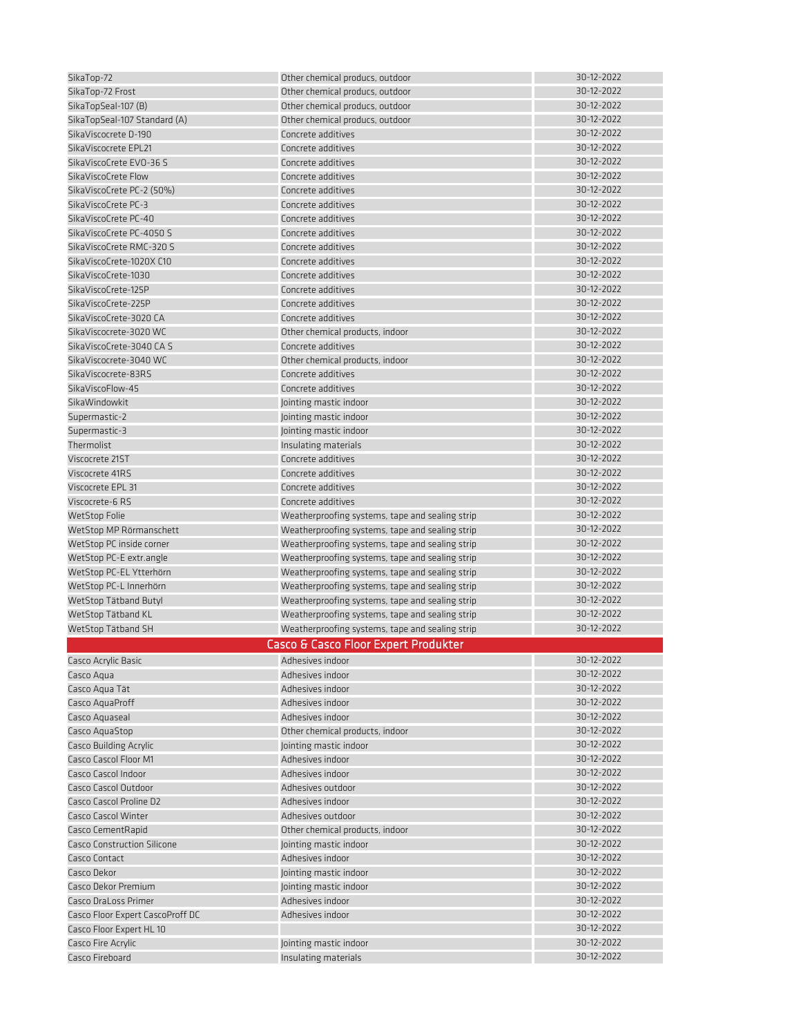| SikaTop-72                         | Other chemical producs, outdoor                 | 30-12-2022 |
|------------------------------------|-------------------------------------------------|------------|
| SikaTop-72 Frost                   | Other chemical producs, outdoor                 | 30-12-2022 |
| SikaTopSeal-107 (B)                | Other chemical producs, outdoor                 | 30-12-2022 |
| SikaTopSeal-107 Standard (A)       | Other chemical producs, outdoor                 | 30-12-2022 |
| SikaViscocrete D-190               | Concrete additives                              | 30-12-2022 |
|                                    |                                                 | 30-12-2022 |
| SikaViscocrete EPL21               | Concrete additives                              |            |
| SikaViscoCrete EVO-36 S            | Concrete additives                              | 30-12-2022 |
| SikaViscoCrete Flow                | Concrete additives                              | 30-12-2022 |
| SikaViscoCrete PC-2 (50%)          | Concrete additives                              | 30-12-2022 |
| SikaViscoCrete PC-3                | Concrete additives                              | 30-12-2022 |
| SikaViscoCrete PC-40               | Concrete additives                              | 30-12-2022 |
| SikaViscoCrete PC-4050 S           | Concrete additives                              | 30-12-2022 |
| SikaViscoCrete RMC-320 S           | Concrete additives                              | 30-12-2022 |
| SikaViscoCrete-1020X C10           | Concrete additives                              | 30-12-2022 |
| SikaViscoCrete-1030                | Concrete additives                              | 30-12-2022 |
| SikaViscoCrete-125P                | Concrete additives                              | 30-12-2022 |
| SikaViscoCrete-225P                | Concrete additives                              | 30-12-2022 |
| SikaViscoCrete-3020 CA             | Concrete additives                              | 30-12-2022 |
| SikaViscocrete-3020 WC             |                                                 | 30-12-2022 |
|                                    | Other chemical products, indoor                 |            |
| SikaViscoCrete-3040 CA S           | Concrete additives                              | 30-12-2022 |
| SikaViscocrete-3040 WC             | Other chemical products, indoor                 | 30-12-2022 |
| SikaViscocrete-83RS                | Concrete additives                              | 30-12-2022 |
| SikaViscoFlow-45                   | Concrete additives                              | 30-12-2022 |
| SikaWindowkit                      | Jointing mastic indoor                          | 30-12-2022 |
| Supermastic-2                      | Jointing mastic indoor                          | 30-12-2022 |
| Supermastic-3                      | Jointing mastic indoor                          | 30-12-2022 |
| Thermolist                         | Insulating materials                            | 30-12-2022 |
| Viscocrete 21ST                    | Concrete additives                              | 30-12-2022 |
| Viscocrete 41RS                    | Concrete additives                              | 30-12-2022 |
| Viscocrete EPL 31                  | Concrete additives                              | 30-12-2022 |
| Viscocrete-6 RS                    | Concrete additives                              | 30-12-2022 |
| <b>WetStop Folie</b>               | Weatherproofing systems, tape and sealing strip | 30-12-2022 |
|                                    |                                                 | 30-12-2022 |
| WetStop MP Rörmanschett            | Weatherproofing systems, tape and sealing strip | 30-12-2022 |
| WetStop PC inside corner           | Weatherproofing systems, tape and sealing strip |            |
| WetStop PC-E extr.angle            | Weatherproofing systems, tape and sealing strip | 30-12-2022 |
| WetStop PC-EL Ytterhörn            | Weatherproofing systems, tape and sealing strip | 30-12-2022 |
| WetStop PC-L Innerhörn             | Weatherproofing systems, tape and sealing strip | 30-12-2022 |
| WetStop Tätband Butyl              | Weatherproofing systems, tape and sealing strip | 30-12-2022 |
| WetStop Tätband KL                 | Weatherproofing systems, tape and sealing strip | 30-12-2022 |
| WetStop Tätband SH                 | Weatherproofing systems, tape and sealing strip | 30-12-2022 |
|                                    | Casco & Casco Floor Expert Produkter            |            |
| Casco Acrylic Basic                | Adhesives indoor                                | 30-12-2022 |
| Casco Aqua                         | Adhesives indoor                                | 30-12-2022 |
|                                    | Adhesives indoor                                | 30-12-2022 |
| Casco Aqua Tät                     |                                                 | 30-12-2022 |
| Casco AquaProff                    | Adhesives indoor                                |            |
| Casco Aquaseal                     | Adhesives indoor                                | 30-12-2022 |
| Casco AquaStop                     | Other chemical products, indoor                 | 30-12-2022 |
| <b>Casco Building Acrylic</b>      | Jointing mastic indoor                          | 30-12-2022 |
| Casco Cascol Floor M1              | Adhesives indoor                                | 30-12-2022 |
| Casco Cascol Indoor                | Adhesives indoor                                | 30-12-2022 |
| Casco Cascol Outdoor               | Adhesives outdoor                               | 30-12-2022 |
| Casco Cascol Proline D2            | Adhesives indoor                                | 30-12-2022 |
| <b>Casco Cascol Winter</b>         | Adhesives outdoor                               | 30-12-2022 |
| Casco CementRapid                  | Other chemical products, indoor                 | 30-12-2022 |
| <b>Casco Construction Silicone</b> | Jointing mastic indoor                          | 30-12-2022 |
| Casco Contact                      | Adhesives indoor                                | 30-12-2022 |
| Casco Dekor                        |                                                 | 30-12-2022 |
|                                    | Jointing mastic indoor                          | 30-12-2022 |
| Casco Dekor Premium                | Jointing mastic indoor                          |            |
| Casco DraLoss Primer               | Adhesives indoor                                | 30-12-2022 |
| Casco Floor Expert CascoProff DC   | Adhesives indoor                                | 30-12-2022 |
| Casco Floor Expert HL 10           |                                                 | 30-12-2022 |
| Casco Fire Acrylic                 | Jointing mastic indoor                          | 30-12-2022 |
| Casco Fireboard                    | Insulating materials                            | 30-12-2022 |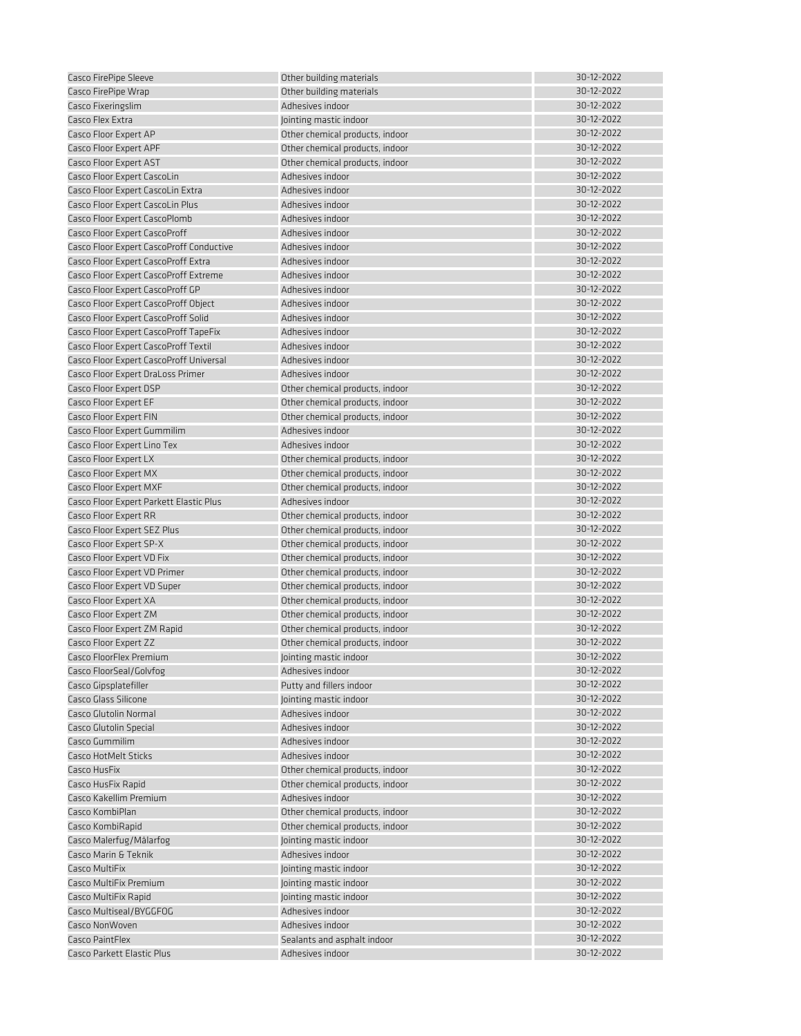| Casco FirePipe Sleeve                    | Other building materials        | 30-12-2022 |
|------------------------------------------|---------------------------------|------------|
| Casco FirePipe Wrap                      | Other building materials        | 30-12-2022 |
| Casco Fixeringslim                       | Adhesives indoor                | 30-12-2022 |
| Casco Flex Extra                         | Jointing mastic indoor          | 30-12-2022 |
| Casco Floor Expert AP                    | Other chemical products, indoor | 30-12-2022 |
| Casco Floor Expert APF                   | Other chemical products, indoor | 30-12-2022 |
| Casco Floor Expert AST                   | Other chemical products, indoor | 30-12-2022 |
| Casco Floor Expert CascoLin              | Adhesives indoor                | 30-12-2022 |
| Casco Floor Expert CascoLin Extra        | Adhesives indoor                | 30-12-2022 |
| Casco Floor Expert CascoLin Plus         | Adhesives indoor                | 30-12-2022 |
| Casco Floor Expert CascoPlomb            | Adhesives indoor                | 30-12-2022 |
| Casco Floor Expert CascoProff            | Adhesives indoor                | 30-12-2022 |
| Casco Floor Expert CascoProff Conductive | Adhesives indoor                | 30-12-2022 |
| Casco Floor Expert CascoProff Extra      | Adhesives indoor                | 30-12-2022 |
| Casco Floor Expert CascoProff Extreme    | Adhesives indoor                | 30-12-2022 |
| Casco Floor Expert CascoProff GP         | Adhesives indoor                | 30-12-2022 |
| Casco Floor Expert CascoProff Object     | Adhesives indoor                | 30-12-2022 |
| Casco Floor Expert CascoProff Solid      | Adhesives indoor                | 30-12-2022 |
| Casco Floor Expert CascoProff TapeFix    | Adhesives indoor                | 30-12-2022 |
| Casco Floor Expert CascoProff Textil     | Adhesives indoor                | 30-12-2022 |
| Casco Floor Expert CascoProff Universal  | Adhesives indoor                | 30-12-2022 |
|                                          | Adhesives indoor                | 30-12-2022 |
| Casco Floor Expert DraLoss Primer        |                                 | 30-12-2022 |
| Casco Floor Expert DSP                   | Other chemical products, indoor |            |
| Casco Floor Expert EF                    | Other chemical products, indoor | 30-12-2022 |
| Casco Floor Expert FIN                   | Other chemical products, indoor | 30-12-2022 |
| Casco Floor Expert Gummilim              | Adhesives indoor                | 30-12-2022 |
| Casco Floor Expert Lino Tex              | Adhesives indoor                | 30-12-2022 |
| Casco Floor Expert LX                    | Other chemical products, indoor | 30-12-2022 |
| Casco Floor Expert MX                    | Other chemical products, indoor | 30-12-2022 |
| Casco Floor Expert MXF                   | Other chemical products, indoor | 30-12-2022 |
| Casco Floor Expert Parkett Elastic Plus  | Adhesives indoor                | 30-12-2022 |
| Casco Floor Expert RR                    | Other chemical products, indoor | 30-12-2022 |
| Casco Floor Expert SEZ Plus              | Other chemical products, indoor | 30-12-2022 |
| Casco Floor Expert SP-X                  | Other chemical products, indoor | 30-12-2022 |
| Casco Floor Expert VD Fix                | Other chemical products, indoor | 30-12-2022 |
| Casco Floor Expert VD Primer             | Other chemical products, indoor | 30-12-2022 |
| Casco Floor Expert VD Super              | Other chemical products, indoor | 30-12-2022 |
| Casco Floor Expert XA                    | Other chemical products, indoor | 30-12-2022 |
| Casco Floor Expert ZM                    | Other chemical products, indoor | 30-12-2022 |
| Casco Floor Expert ZM Rapid              | Other chemical products, indoor | 30-12-2022 |
| Casco Floor Expert ZZ                    | Other chemical products, indoor | 30-12-2022 |
| Casco FloorFlex Premium                  | Jointing mastic indoor          | 30-12-2022 |
| Casco FloorSeal/Golvfog                  | Adhesives indoor                | 30-12-2022 |
| Casco Gipsplatefiller                    | Putty and fillers indoor        | 30-12-2022 |
| Casco Glass Silicone                     | Jointing mastic indoor          | 30-12-2022 |
| Casco Glutolin Normal                    | Adhesives indoor                | 30-12-2022 |
| Casco Glutolin Special                   | Adhesives indoor                | 30-12-2022 |
| Casco Gummilim                           | Adhesives indoor                | 30-12-2022 |
| Casco HotMelt Sticks                     | Adhesives indoor                | 30-12-2022 |
| Casco HusFix                             | Other chemical products, indoor | 30-12-2022 |
| Casco HusFix Rapid                       | Other chemical products, indoor | 30-12-2022 |
| Casco Kakellim Premium                   | Adhesives indoor                | 30-12-2022 |
| Casco KombiPlan                          | Other chemical products, indoor | 30-12-2022 |
| Casco KombiRapid                         | Other chemical products, indoor | 30-12-2022 |
| Casco Malerfug/Målarfog                  | Jointing mastic indoor          | 30-12-2022 |
| Casco Marin & Teknik                     | Adhesives indoor                | 30-12-2022 |
| Casco MultiFix                           | Jointing mastic indoor          | 30-12-2022 |
| Casco MultiFix Premium                   | Jointing mastic indoor          | 30-12-2022 |
| Casco MultiFix Rapid                     | Jointing mastic indoor          | 30-12-2022 |
| Casco Multiseal/BYGGFOG                  | Adhesives indoor                | 30-12-2022 |
| Casco NonWoven                           | Adhesives indoor                | 30-12-2022 |
| Casco PaintFlex                          | Sealants and asphalt indoor     | 30-12-2022 |
| Casco Parkett Elastic Plus               | Adhesives indoor                | 30-12-2022 |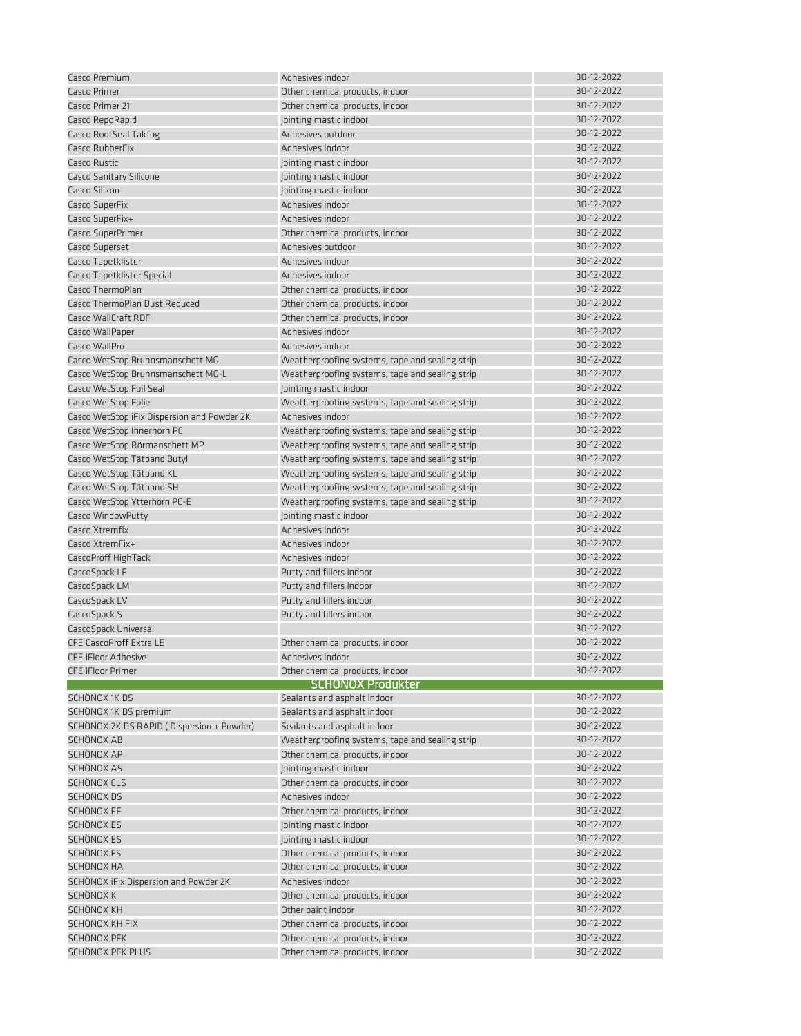| Casco Premium                                                      | Adhesives indoor                                                    | 30-12-2022               |
|--------------------------------------------------------------------|---------------------------------------------------------------------|--------------------------|
| Casco Primer                                                       | Other chemical products, indoor                                     | 30-12-2022               |
| Casco Primer 21                                                    | Other chemical products, indoor                                     | 30-12-2022               |
| Casco RepoRapid                                                    | Jointing mastic indoor                                              | 30-12-2022               |
| Casco RoofSeal Takfog                                              | Adhesives outdoor                                                   | 30-12-2022               |
| Casco RubberFix                                                    | Adhesives indoor                                                    | 30-12-2022               |
| Casco Rustic                                                       | Jointing mastic indoor                                              | 30-12-2022               |
| <b>Casco Sanitary Silicone</b>                                     | Jointing mastic indoor                                              | 30-12-2022               |
| Casco Silikon                                                      | Jointing mastic indoor                                              | 30-12-2022               |
| Casco SuperFix                                                     | Adhesives indoor                                                    | 30-12-2022               |
| Casco SuperFix+                                                    | Adhesives indoor                                                    | 30-12-2022               |
| Casco SuperPrimer                                                  | Other chemical products, indoor                                     | 30-12-2022               |
| Casco Superset                                                     | Adhesives outdoor                                                   | 30-12-2022               |
| Casco Tapetklister                                                 | Adhesives indoor                                                    | 30-12-2022               |
| Casco Tapetklister Special                                         | Adhesives indoor                                                    | 30-12-2022               |
| Casco ThermoPlan                                                   | Other chemical products, indoor                                     | 30-12-2022               |
| Casco ThermoPlan Dust Reduced                                      | Other chemical products, indoor                                     | 30-12-2022               |
| Casco WallCraft RDF                                                | Other chemical products, indoor                                     | 30-12-2022               |
| Casco WallPaper                                                    | Adhesives indoor                                                    | 30-12-2022               |
| Casco WallPro                                                      | Adhesives indoor                                                    | 30-12-2022               |
| Casco WetStop Brunnsmanschett MG                                   | Weatherproofing systems, tape and sealing strip                     | 30-12-2022               |
| Casco WetStop Brunnsmanschett MG-L                                 | Weatherproofing systems, tape and sealing strip                     | 30-12-2022               |
| Casco WetStop Foil Seal                                            | Jointing mastic indoor                                              | 30-12-2022               |
|                                                                    |                                                                     | 30-12-2022               |
| Casco WetStop Folie<br>Casco WetStop iFix Dispersion and Powder 2K | Weatherproofing systems, tape and sealing strip<br>Adhesives indoor | 30-12-2022               |
|                                                                    |                                                                     | 30-12-2022               |
| Casco WetStop Innerhörn PC                                         | Weatherproofing systems, tape and sealing strip                     | 30-12-2022               |
| Casco WetStop Rörmanschett MP                                      | Weatherproofing systems, tape and sealing strip                     | 30-12-2022               |
| Casco WetStop Tätband Butyl                                        | Weatherproofing systems, tape and sealing strip                     | 30-12-2022               |
| Casco WetStop Tätband KL                                           | Weatherproofing systems, tape and sealing strip                     | 30-12-2022               |
| Casco WetStop Tätband SH                                           | Weatherproofing systems, tape and sealing strip                     | 30-12-2022               |
| Casco WetStop Ytterhörn PC-E                                       | Weatherproofing systems, tape and sealing strip                     | 30-12-2022               |
| Casco WindowPutty<br>Casco Xtremfix                                | Jointing mastic indoor<br>Adhesives indoor                          | 30-12-2022               |
| Casco XtremFix+                                                    | Adhesives indoor                                                    | 30-12-2022               |
|                                                                    |                                                                     | 30-12-2022               |
| CascoProff HighTack                                                | Adhesives indoor                                                    | 30-12-2022               |
| CascoSpack LF                                                      | Putty and fillers indoor                                            | 30-12-2022               |
| CascoSpack LM                                                      | Putty and fillers indoor                                            | 30-12-2022               |
| CascoSpack LV                                                      | Putty and fillers indoor                                            |                          |
| CascoSpack S                                                       | Putty and fillers indoor                                            | 30-12-2022<br>30-12-2022 |
| CascoSpack Universal                                               |                                                                     |                          |
| <b>CFE CascoProff Extra LE</b>                                     | Other chemical products, indoor                                     | 30-12-2022               |
| <b>CFE iFloor Adhesive</b>                                         | Adhesives indoor                                                    | 30-12-2022               |
| <b>CFE iFloor Primer</b>                                           | Other chemical products, indoor<br><b>SCHONOX Produkter</b>         | 30-12-2022               |
| SCHÖNOX 1K DS                                                      | Sealants and asphalt indoor                                         | 30-12-2022               |
| SCHÖNOX 1K DS premium                                              | Sealants and asphalt indoor                                         | 30-12-2022               |
| SCHÖNOX 2K DS RAPID (Dispersion + Powder)                          | Sealants and asphalt indoor                                         | 30-12-2022               |
| SCHÖNOX AB                                                         | Weatherproofing systems, tape and sealing strip                     | 30-12-2022               |
| SCHÖNOX AP                                                         | Other chemical products, indoor                                     | 30-12-2022               |
| SCHÖNOX AS                                                         | Jointing mastic indoor                                              | 30-12-2022               |
| SCHÖNOX CLS                                                        | Other chemical products, indoor                                     | 30-12-2022               |
| SCHÖNOX DS                                                         | Adhesives indoor                                                    | 30-12-2022               |
| SCHÖNOX EF                                                         |                                                                     | 30-12-2022               |
|                                                                    | Other chemical products, indoor                                     | 30-12-2022               |
| SCHÖNOX ES                                                         | Jointing mastic indoor                                              | 30-12-2022               |
| SCHÖNOX ES<br>SCHÖNOX FS                                           | Jointing mastic indoor                                              | 30-12-2022               |
| SCHÖNOX HA                                                         | Other chemical products, indoor<br>Other chemical products, indoor  | 30-12-2022               |
|                                                                    |                                                                     |                          |
| SCHÖNOX iFix Dispersion and Powder 2K                              | Adhesives indoor                                                    | 30-12-2022<br>30-12-2022 |
| SCHÖNOX K                                                          | Other chemical products, indoor                                     |                          |
| SCHÖNOX KH<br>SCHÖNOX KH FIX                                       | Other paint indoor                                                  | 30-12-2022<br>30-12-2022 |
|                                                                    | Other chemical products, indoor                                     | 30-12-2022               |
| SCHÖNOX PFK                                                        | Other chemical products, indoor                                     | 30-12-2022               |
| SCHÖNOX PFK PLUS                                                   | Other chemical products, indoor                                     |                          |